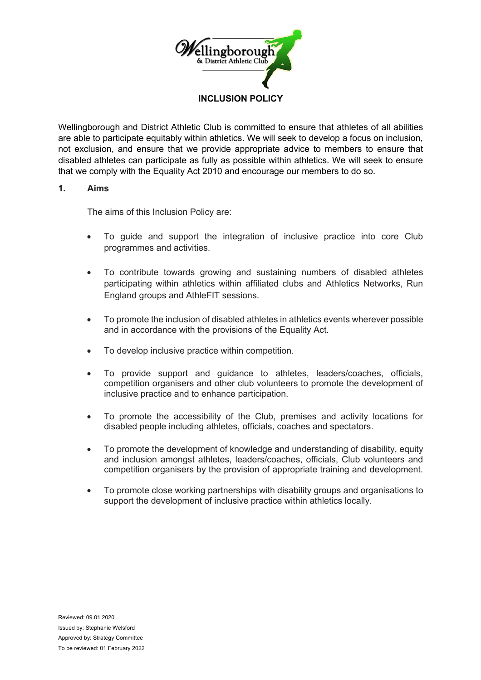

Wellingborough and District Athletic Club is committed to ensure that athletes of all abilities are able to participate equitably within athletics. We will seek to develop a focus on inclusion, not exclusion, and ensure that we provide appropriate advice to members to ensure that disabled athletes can participate as fully as possible within athletics. We will seek to ensure that we comply with the Equality Act 2010 and encourage our members to do so.

### **1. Aims**

The aims of this Inclusion Policy are:

- To guide and support the integration of inclusive practice into core Club programmes and activities.
- To contribute towards growing and sustaining numbers of disabled athletes participating within athletics within affiliated clubs and Athletics Networks, Run England groups and AthleFIT sessions.
- To promote the inclusion of disabled athletes in athletics events wherever possible and in accordance with the provisions of the Equality Act.
- To develop inclusive practice within competition.
- To provide support and guidance to athletes, leaders/coaches, officials, competition organisers and other club volunteers to promote the development of inclusive practice and to enhance participation.
- To promote the accessibility of the Club, premises and activity locations for disabled people including athletes, officials, coaches and spectators.
- To promote the development of knowledge and understanding of disability, equity and inclusion amongst athletes, leaders/coaches, officials, Club volunteers and competition organisers by the provision of appropriate training and development.
- To promote close working partnerships with disability groups and organisations to support the development of inclusive practice within athletics locally.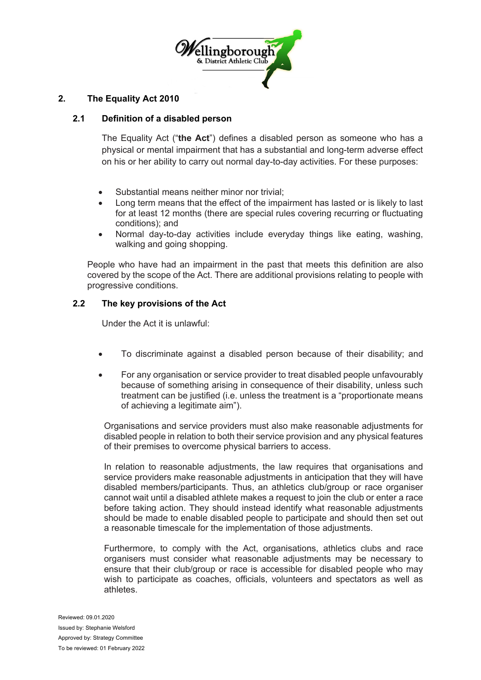

### **2. The Equality Act 2010**

### **2.1 Definition of a disabled person**

The Equality Act ("**the Act**") defines a disabled person as someone who has a physical or mental impairment that has a substantial and long-term adverse effect on his or her ability to carry out normal day-to-day activities. For these purposes:

- Substantial means neither minor nor trivial:
- Long term means that the effect of the impairment has lasted or is likely to last for at least 12 months (there are special rules covering recurring or fluctuating conditions); and
- Normal day-to-day activities include everyday things like eating, washing, walking and going shopping.

People who have had an impairment in the past that meets this definition are also covered by the scope of the Act. There are additional provisions relating to people with progressive conditions.

# **2.2 The key provisions of the Act**

Under the Act it is unlawful:

- To discriminate against a disabled person because of their disability; and
- For any organisation or service provider to treat disabled people unfavourably because of something arising in consequence of their disability, unless such treatment can be justified (i.e. unless the treatment is a "proportionate means of achieving a legitimate aim").

Organisations and service providers must also make reasonable adjustments for disabled people in relation to both their service provision and any physical features of their premises to overcome physical barriers to access.

In relation to reasonable adjustments, the law requires that organisations and service providers make reasonable adjustments in anticipation that they will have disabled members/participants. Thus, an athletics club/group or race organiser cannot wait until a disabled athlete makes a request to join the club or enter a race before taking action. They should instead identify what reasonable adjustments should be made to enable disabled people to participate and should then set out a reasonable timescale for the implementation of those adjustments.

Furthermore, to comply with the Act, organisations, athletics clubs and race organisers must consider what reasonable adjustments may be necessary to ensure that their club/group or race is accessible for disabled people who may wish to participate as coaches, officials, volunteers and spectators as well as athletes.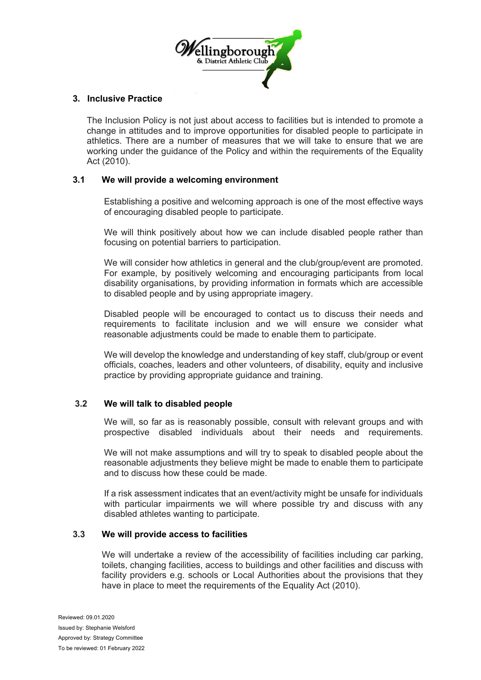

# **3. Inclusive Practice**

The Inclusion Policy is not just about access to facilities but is intended to promote a change in attitudes and to improve opportunities for disabled people to participate in athletics. There are a number of measures that we will take to ensure that we are working under the guidance of the Policy and within the requirements of the Equality Act (2010).

# **3.1 We will provide a welcoming environment**

Establishing a positive and welcoming approach is one of the most effective ways of encouraging disabled people to participate.

We will think positively about how we can include disabled people rather than focusing on potential barriers to participation.

We will consider how athletics in general and the club/group/event are promoted. For example, by positively welcoming and encouraging participants from local disability organisations, by providing information in formats which are accessible to disabled people and by using appropriate imagery.

Disabled people will be encouraged to contact us to discuss their needs and requirements to facilitate inclusion and we will ensure we consider what reasonable adjustments could be made to enable them to participate.

We will develop the knowledge and understanding of key staff, club/group or event officials, coaches, leaders and other volunteers, of disability, equity and inclusive practice by providing appropriate guidance and training.

### **3.2 We will talk to disabled people**

We will, so far as is reasonably possible, consult with relevant groups and with prospective disabled individuals about their needs and requirements.

We will not make assumptions and will try to speak to disabled people about the reasonable adjustments they believe might be made to enable them to participate and to discuss how these could be made.

If a risk assessment indicates that an event/activity might be unsafe for individuals with particular impairments we will where possible try and discuss with any disabled athletes wanting to participate.

### **3.3 We will provide access to facilities**

We will undertake a review of the accessibility of facilities including car parking, toilets, changing facilities, access to buildings and other facilities and discuss with facility providers e.g. schools or Local Authorities about the provisions that they have in place to meet the requirements of the Equality Act (2010).